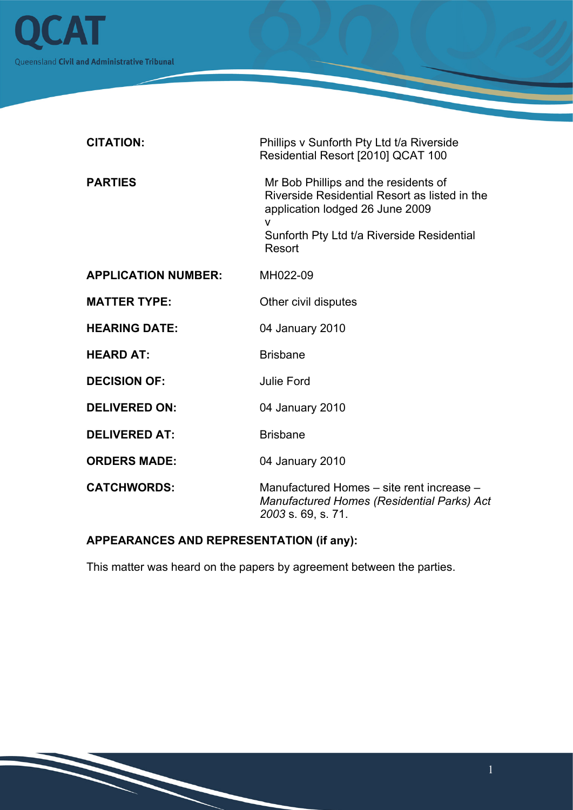

| <b>CITATION:</b>           | Phillips v Sunforth Pty Ltd t/a Riverside<br>Residential Resort [2010] QCAT 100                                                                                                       |
|----------------------------|---------------------------------------------------------------------------------------------------------------------------------------------------------------------------------------|
| <b>PARTIES</b>             | Mr Bob Phillips and the residents of<br>Riverside Residential Resort as listed in the<br>application lodged 26 June 2009<br>v<br>Sunforth Pty Ltd t/a Riverside Residential<br>Resort |
| <b>APPLICATION NUMBER:</b> | MH022-09                                                                                                                                                                              |
| <b>MATTER TYPE:</b>        | Other civil disputes                                                                                                                                                                  |
| <b>HEARING DATE:</b>       | 04 January 2010                                                                                                                                                                       |
| <b>HEARD AT:</b>           | <b>Brisbane</b>                                                                                                                                                                       |
| <b>DECISION OF:</b>        | <b>Julie Ford</b>                                                                                                                                                                     |
| <b>DELIVERED ON:</b>       | 04 January 2010                                                                                                                                                                       |
| <b>DELIVERED AT:</b>       | <b>Brisbane</b>                                                                                                                                                                       |
| <b>ORDERS MADE:</b>        | 04 January 2010                                                                                                                                                                       |
| <b>CATCHWORDS:</b>         | Manufactured Homes – site rent increase –<br>Manufactured Homes (Residential Parks) Act<br>2003 s. 69, s. 71.                                                                         |

# **APPEARANCES AND REPRESENTATION (if any):**

This matter was heard on the papers by agreement between the parties.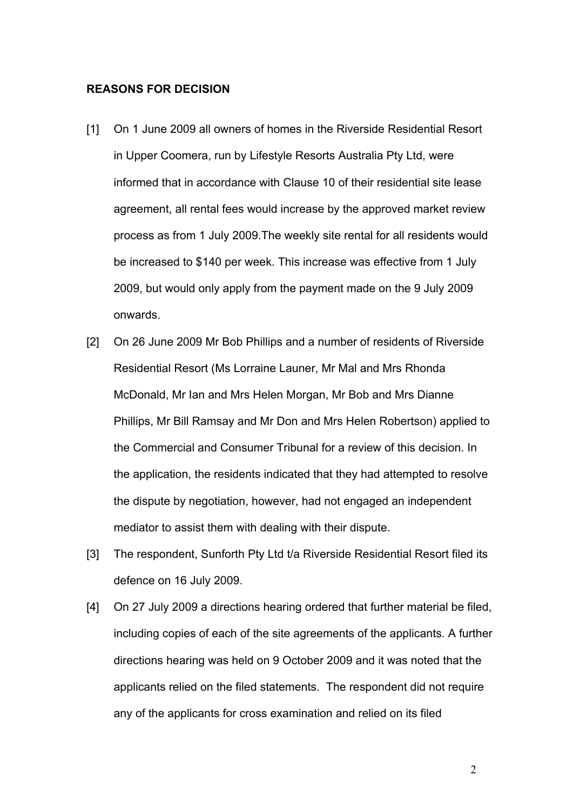# **REASONS FOR DECISION**

- [1] On 1 June 2009 all owners of homes in the Riverside Residential Resort in Upper Coomera, run by Lifestyle Resorts Australia Pty Ltd, were informed that in accordance with Clause 10 of their residential site lease agreement, all rental fees would increase by the approved market review process as from 1 July 2009.The weekly site rental for all residents would be increased to \$140 per week. This increase was effective from 1 July 2009, but would only apply from the payment made on the 9 July 2009 onwards.
- [2] On 26 June 2009 Mr Bob Phillips and a number of residents of Riverside Residential Resort (Ms Lorraine Launer, Mr Mal and Mrs Rhonda McDonald, Mr Ian and Mrs Helen Morgan, Mr Bob and Mrs Dianne Phillips, Mr Bill Ramsay and Mr Don and Mrs Helen Robertson) applied to the Commercial and Consumer Tribunal for a review of this decision. In the application, the residents indicated that they had attempted to resolve the dispute by negotiation, however, had not engaged an independent mediator to assist them with dealing with their dispute.
- [3] The respondent, Sunforth Pty Ltd t/a Riverside Residential Resort filed its defence on 16 July 2009.
- [4] On 27 July 2009 a directions hearing ordered that further material be filed, including copies of each of the site agreements of the applicants. A further directions hearing was held on 9 October 2009 and it was noted that the applicants relied on the filed statements. The respondent did not require any of the applicants for cross examination and relied on its filed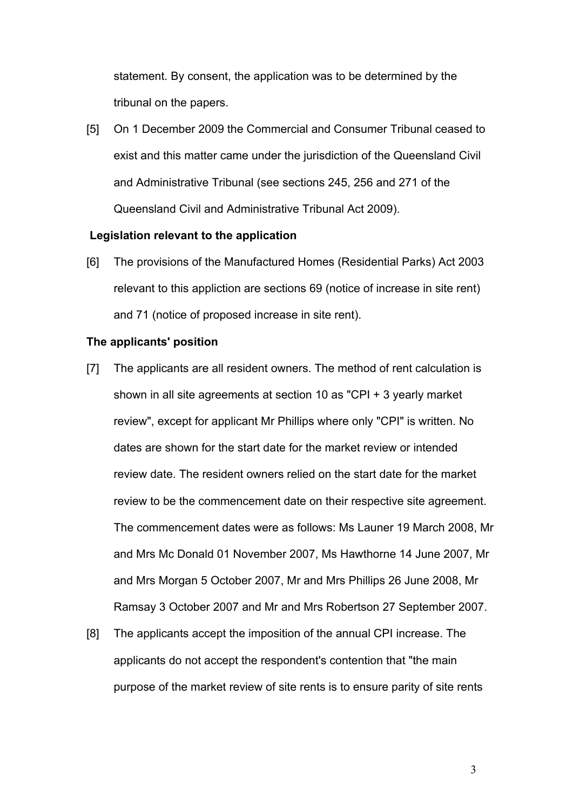statement. By consent, the application was to be determined by the tribunal on the papers.

[5] On 1 December 2009 the Commercial and Consumer Tribunal ceased to exist and this matter came under the jurisdiction of the Queensland Civil and Administrative Tribunal (see sections 245, 256 and 271 of the Queensland Civil and Administrative Tribunal Act 2009).

#### **Legislation relevant to the application**

[6] The provisions of the Manufactured Homes (Residential Parks) Act 2003 relevant to this appliction are sections 69 (notice of increase in site rent) and 71 (notice of proposed increase in site rent).

# **The applicants' position**

- [7] The applicants are all resident owners. The method of rent calculation is shown in all site agreements at section 10 as "CPI + 3 yearly market review", except for applicant Mr Phillips where only "CPI" is written. No dates are shown for the start date for the market review or intended review date. The resident owners relied on the start date for the market review to be the commencement date on their respective site agreement. The commencement dates were as follows: Ms Launer 19 March 2008, Mr and Mrs Mc Donald 01 November 2007, Ms Hawthorne 14 June 2007, Mr and Mrs Morgan 5 October 2007, Mr and Mrs Phillips 26 June 2008, Mr Ramsay 3 October 2007 and Mr and Mrs Robertson 27 September 2007.
- [8] The applicants accept the imposition of the annual CPI increase. The applicants do not accept the respondent's contention that "the main purpose of the market review of site rents is to ensure parity of site rents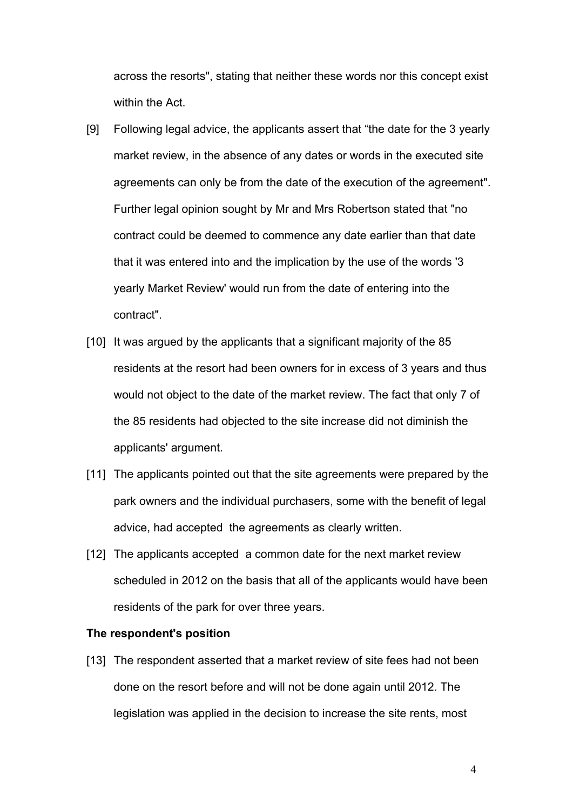across the resorts", stating that neither these words nor this concept exist within the Act.

- [9] Following legal advice, the applicants assert that "the date for the 3 yearly market review, in the absence of any dates or words in the executed site agreements can only be from the date of the execution of the agreement". Further legal opinion sought by Mr and Mrs Robertson stated that "no contract could be deemed to commence any date earlier than that date that it was entered into and the implication by the use of the words '3 yearly Market Review' would run from the date of entering into the contract".
- [10] It was argued by the applicants that a significant majority of the 85 residents at the resort had been owners for in excess of 3 years and thus would not object to the date of the market review. The fact that only 7 of the 85 residents had objected to the site increase did not diminish the applicants' argument.
- [11] The applicants pointed out that the site agreements were prepared by the park owners and the individual purchasers, some with the benefit of legal advice, had accepted the agreements as clearly written.
- [12] The applicants accepted a common date for the next market review scheduled in 2012 on the basis that all of the applicants would have been residents of the park for over three years.

### **The respondent's position**

[13] The respondent asserted that a market review of site fees had not been done on the resort before and will not be done again until 2012. The legislation was applied in the decision to increase the site rents, most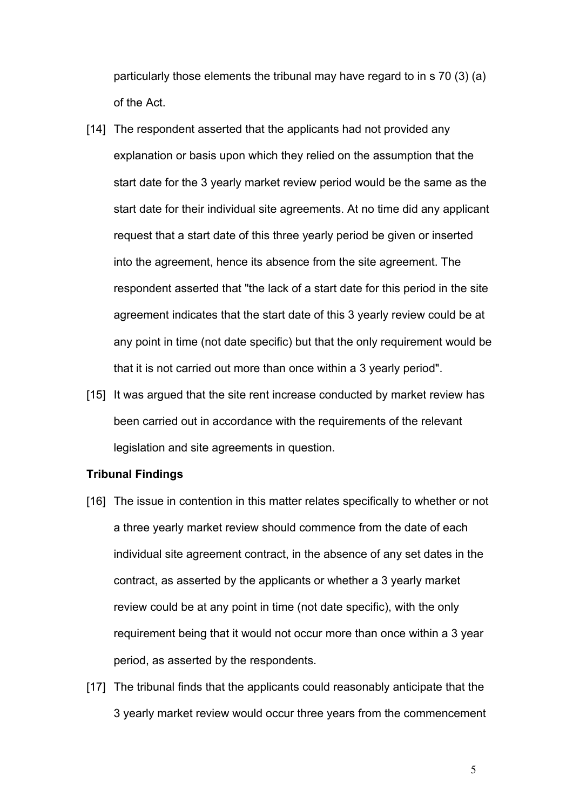particularly those elements the tribunal may have regard to in s 70 (3) (a) of the Act.

- [14] The respondent asserted that the applicants had not provided any explanation or basis upon which they relied on the assumption that the start date for the 3 yearly market review period would be the same as the start date for their individual site agreements. At no time did any applicant request that a start date of this three yearly period be given or inserted into the agreement, hence its absence from the site agreement. The respondent asserted that "the lack of a start date for this period in the site agreement indicates that the start date of this 3 yearly review could be at any point in time (not date specific) but that the only requirement would be that it is not carried out more than once within a 3 yearly period".
- [15] It was argued that the site rent increase conducted by market review has been carried out in accordance with the requirements of the relevant legislation and site agreements in question.

#### **Tribunal Findings**

- [16] The issue in contention in this matter relates specifically to whether or not a three yearly market review should commence from the date of each individual site agreement contract, in the absence of any set dates in the contract, as asserted by the applicants or whether a 3 yearly market review could be at any point in time (not date specific), with the only requirement being that it would not occur more than once within a 3 year period, as asserted by the respondents.
- [17] The tribunal finds that the applicants could reasonably anticipate that the 3 yearly market review would occur three years from the commencement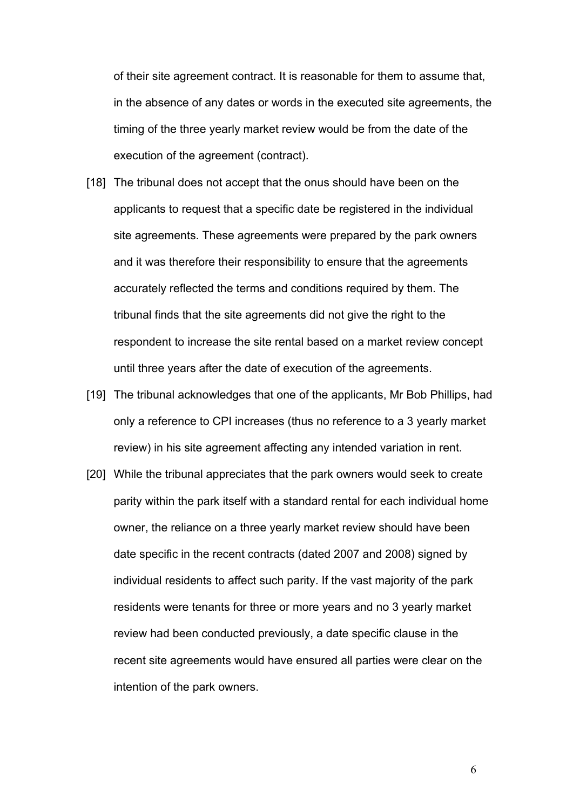of their site agreement contract. It is reasonable for them to assume that, in the absence of any dates or words in the executed site agreements, the timing of the three yearly market review would be from the date of the execution of the agreement (contract).

- [18] The tribunal does not accept that the onus should have been on the applicants to request that a specific date be registered in the individual site agreements. These agreements were prepared by the park owners and it was therefore their responsibility to ensure that the agreements accurately reflected the terms and conditions required by them. The tribunal finds that the site agreements did not give the right to the respondent to increase the site rental based on a market review concept until three years after the date of execution of the agreements.
- [19] The tribunal acknowledges that one of the applicants, Mr Bob Phillips, had only a reference to CPI increases (thus no reference to a 3 yearly market review) in his site agreement affecting any intended variation in rent.
- [20] While the tribunal appreciates that the park owners would seek to create parity within the park itself with a standard rental for each individual home owner, the reliance on a three yearly market review should have been date specific in the recent contracts (dated 2007 and 2008) signed by individual residents to affect such parity. If the vast majority of the park residents were tenants for three or more years and no 3 yearly market review had been conducted previously, a date specific clause in the recent site agreements would have ensured all parties were clear on the intention of the park owners.